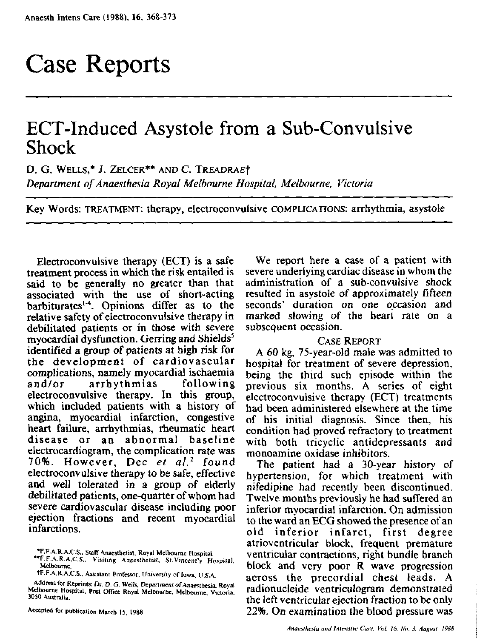# **Case Reports**

# **EeT-Induced Asystole from a Sub-Convulsive Shock**

D. G. WELLS.\* J. ZELCER\*\* AND C. TREADRAET *Department of Anaesthesia Royal Melbourne Hospital, Melbourne, Victoria*

Key Words: TREATMENT: therapy, electroconvulsive COMPLICATIONS: arrhythmia, asystole

Electroconvulsive therapy (ECT) is a safe treatment process in which the risk entailed is said to be generally no greater than that associated with the use of short-acting barbiturates!". Opinions differ as to the relative safety of electroconvulsive therapy in debilitated patients or in those with severe myocardial dysfunction. Gerring and Shields' identified a group of patients at high risk for the development of cardiovascular complications, namely myocardial ischaemia arrhythmias electroconvulsive therapy. In this group, which included patients with a history of angina, myocardial infarction, congestive heart failure, arrhythmias, rheumatic heart disease or an abnormal baseline electrocardiogram, the complication rate was 70%. However, Dec *et al.?* found electroconvulsive therapy to be safe, effective and well tolerated in a group of elderly debilitated patients, one-quarter of whom had severe cardiovascular disease including poor ejection fractions and recent myocardial infarctions.

We report here a case of a patient with severe underlying cardiac disease in whom the administration of a sub-convulsive shock resulted in asystole of approximately fifteen seconds' duration on one occasion and marked slowing of the heart rate on a subsequent occasion.

#### CASE REPORT

A 60 kg, 75-year·old male was admitted to hospital for treatment of severe depression, being the third such episode within the previous six months, A series of eight electroconvulsive therapy (ECT) treatments had been administered elsewhere at the time of his initial diagnosis. Since then, his condition had proved refractory to treatment with both tricyclic antidepressants and monoamine oxidase inhibitors.

The patient had a 30-year history of hypertension, for which treatment with nifedipine had recently been discontinued. Twelve months previously he had suffered an inferior myocardial infarction. On admission to the ward an ECG showed the presence of an<br>old inferior infarct, first degree inferior infarct, first degree atrioventricular block, frequent premature ventricular contractions, right bundle branch block and very poor R wave progression across the precordial chest leads. A radionucleide ventriculogram demonstrated the left ventricular ejection fraction to be only Atcorpted for publication March 15, 1988 22%. On examination the blood pressure was

<sup>\*</sup>F.F.A.R.A.C.S., Staff Anaesthetist, Royal Melbourne Hospital.

<sup>··</sup>F.F.A.R.A.C.S., Visiting Anae.thetist. *St.* Vincent's Hospital. Melbourne.

tF.F.A.R.A.C.S., Assistant Professor, University of Iowa, U.S.A.

Address for Reprints: Dr. D. G. Wells, Department of Anaesthesia. Royal Melbourne Hospital. Post Office Royal Melbourne. Melbourne. Victoria. 3050 Australia.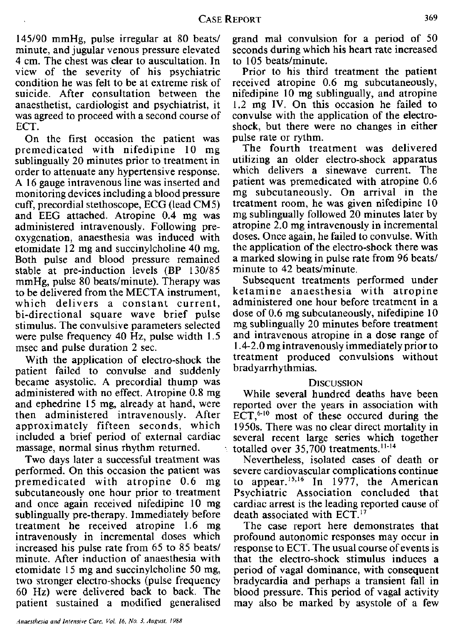145/90 mmHg, pulse irregular at 80 beats/ minute, and jugular venous pressure elevated 4 ern. The chest was clear to auscultation. In view of the severity of his psychiatric condition he was felt to be at extreme risk of suicide. After consultation between the anaesthetist, cardiologist and psychiatrist, it was agreed to proceed with a second course of ECT.

On the first occasion the patient was premedicated with nifedipine 10 mg sublingually 20 minutes prior to treatment in order to attenuate any hypertensive response. A 16 gauge intravenous line was inserted and monitoring devices including a blood pressure cuff, precordial stethoscope, ECG (lead CM5) and EEG attached. Atropine 0.4 mg was administered intravenously. Following preoxygenation, anaesthesia was induced with etomidate 12 mg and succinylcholine 40 mg. Both pulse and blood pressure remained stable at pre-induction levels (BP 130/85 mmHg, pulse 80 beats/minute). Therapy was to be delivered from the MECTA instrument, which delivers a constant current, bi-directional square wave brief pulse stimulus. The convulsive parameters selected were pulse frequency 40 Hz, pulse width 1.5 msec and pulse duration 2 sec.

With the application of electro-shock the patient failed to convulse and suddenly became asystolic. A precordial thump was administered with no effect. Atropine 0.8 mg and ephedrine 15 mg, already at hand, were then administered intravenously. After approximately fifteen seconds, which included a brief period of external cardiac massage, normal sinus rhythm returned.

Two days later a successful treatment was performed. On this occasion the patient was premedicated with atropine 0.6 mg subcutaneously one hour prior to treatment and once again received nifedipine 10 mg sublingually pre-therapy. Immediately before treatment he received atropine 1.6 mg intravenously in incremental doses which increased his pulse rate from 65 to 85 beats/ minute. After induction of anaesthesia with etomidate 15 mg and succinylcholine 50 mg, two stronger electro-shocks (pulse frequency 60 Hz) were delivered back to back. The patient sustained a modified generalised

grand mal convulsion for a period of 50 seconds during which his heart rate increased to 105 beats/minute.

Prior to his third treatment the patient received atropine 0.6 mg subcutaneously, nifedipine 10 mg sublingually, and atropine 1.2 mg IV. On this occasion he failed to convulse with the application of the electroshock, but there were no changes in either pulse rate or rythm.

The fourth treatment was delivered utilizing an older electro-shock apparatus which delivers a sinewave current. The patient was premedicated with atropine 0.6 mg subcutaneously. On arrival in the treatment room, he was given nifedipine 10 mg sublingually followed 20 minutes later by atropine 2.0 mg intravenously in incremental doses. Once again, he failed to convulse. With the application of the electro-shock there was a marked slowing in pulse rate from 96 beats/ minute to 42 beats/minute.

Subsequent treatments performed under ketamine anaesthesia with atropine administered one hour before treatment in a dose of 0.6 mg subcutaneously, nifedipine 10 mg sublingually 20 minutes before treatment and intravenous atropine in a dose range of 1.4-2.0mg intravenously immediately prior to treatment produced convulsions without brad yarrhythmias.

#### **DISCUSSION**

While several hundred deaths have been reported over the years in association with ECT, $6-10$  most of these occured during the 1950s. There was no clear direct mortality in several recent large series which together totalled over 35,700 treatments. 11·14

Nevertheless, isolated cases of death or severe cardiovascular complications continue to appear.<sup>15,16</sup> In 1977, the American Psychiatric Association concluded that cardiac arrest is the leading reported cause of death associated with ECT.<sup>17</sup>

The case report here demonstrates that profound autonomic responses may occur in response to ECT. The usual course of events is that the electro-shock stimulus induces a period of vagal dominance, with consequent bradycardia and perhaps a transient fall in blood pressure. This period of vagal activity may also be marked by asystole of a few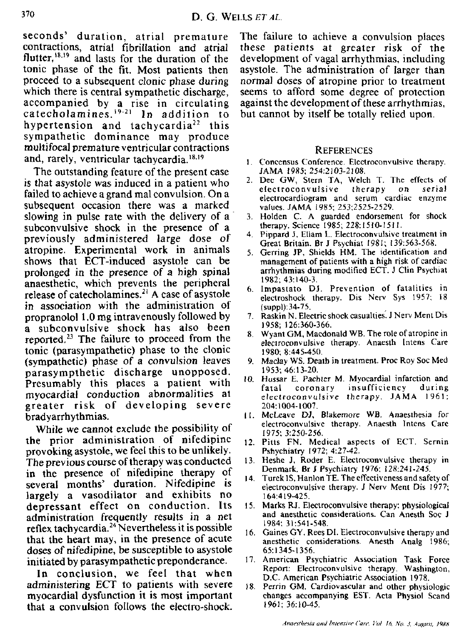seconds' duration, atrial premature contractions, atrial fibrillation and atrial flutter, $18.19$  and lasts for the duration of the tonic phase of the fit. Most patients then proceed to a subsequent clonic phase during which there is central sympathetic discharge, accompanied by a rise in circulating catecholamines. $19-21$  In addition to hypertension and tachycardia<sup>22</sup> this sympathetic dominance may produce multifocal premature ventricular contractions and, rarely, ventricular tachycardia. 18.19

The outstanding feature of the present case is that asystole was induced in a patient who failed to achieve a grand mal convulsion. On a subsequent occasion there was a marked slowing in pulse rate with the delivery of a subconvulsive shock in the presence of a previously administered large dose of atropine. Experimental work in animals shows that ECT-induced asystole can be prolonged in the presence of a high spinal anaesthetic, which prevents the peripheral release of catecholamines." A case of asystole in association with the administration of propranolol 1.0mg intravenously followed by a subconvulsive shock has also been reported. $23$  The failure to proceed from the tonic (parasympathetic) phase to the clonic (sympathetic) phase of a convulsion leaves parasympthetic discharge unopposed. Presumably this places a patient with myocardial conduction abnormalities at greater risk of developing severe bradyarrhythmias.

While we cannot exclude the possibility of the prior administration of nifedipine provoking asystole, we feel this to be unlikely. The previous course of therapy was conducted in the presence of nifedipine therapy of several months' duration. Nifedipine is largely a vasodilator and exhibits no depressant effect on conduction. Its administration frequently results in a net reflex tachycardia.<sup>24</sup> Nevertheless it is possible that the heart may, in the presence of acute doses of nifedipine, be susceptible to asystole initiated by parasympathetic preponderance.

In conclusion, we feel that when administering ECT to patients with severe myocardial dysfunction it is most important that a convulsion follows the electro-shock.

The failure to achieve a convulsion places these patients at greater risk of the development of vagal arrhythmias, including asystole. The administration of larger than normal doses of atropine prior to treatment seems to afford some degree of protection against the development of these arrhythmias, but cannot by itself be totally relied upon.

### **REFERENCES**

- I. Concensus Conference. Electroconvulsive therapy. JAMA 1985: 254:2103-2108.
- 2. Dec GW, Stern TA, Welch T. The effects of electroconvulsive therapy on serial electroconvulsive electrocardiogram and serum cardiac enzyme values. lAMA 1985; 253;2525-2529.
- 3. Holden C. A guarded endorsement for shock therapy. Science 1985; 228:1510-1511.
- 4. Pippard J, Ellam L. Electroconvulsive treatment in Great Britain. Br J Psychiat [981; 139:563-568.
- 5. Gerring JP. Shields HM. The identification and management of patients with a high risk of cardiac arrhythmias during modified ECT. J Clin Psychiat 1982; 43: 140-3.
- 6. Impastato OJ. Prevention of fatalities in electroshock therapy. Dis Nerv Sys 1957; 18  $(sumbel):$ 34-75.
- 7. Raskin N. Electric shock casualties. J Nerv Ment Dis 1958; [26:360-366.
- 8. Wyant GM, Macdonald WB. The role of atropine in electroconvulsive therapy. Anaesth [ntens Care 1980; 8:445-450.
- 9. Maclay WS. Death in treatment. Proc Roy Soc Med 1953; 46: 13-20.
- 10. Hussar E. Pachter M. Myocardial infarction and<br>fatal coronary insufficiency during insufficiency electroconvulsive therapy. *lAMA* 1961; 204: I 004-1 007.
- <sup>I</sup> I. McLeave *DJ.* Blakemore WH. Anaesthesia for electroconvulsive therapy. Anaesth Intens Care 1975; 3:250-256.
- 12. Pitts FN. Medical aspects of ECT. Sernin Pshychiatry 1972; 4:27.42.
- 13. Heshe J, Roder E. Electroconvulsive therapy in Denmark. Br J Psychiatry 1976; 128:241-245.
- 14. Turek IS, Hanlon TE. The effectiveness and safety of electroconvulsive therapy. J Nerv Ment Dis 1977; 164:419-425.
- [5. Marks RJ. Electroconvulsive therapy: physiological and anesthetic considerations. Can Anesth Soc J 1984: 31:541-548.
- 16. Gaines GY, Rees 01. Electroconvulsive therapy and anesthetic considerations. Anesth Analg 1986; 65: I345·1356.
- 17. American Psychiatric Association Task Force Report: Electroconvulsive therapy. Washington, D.C. American Psychiatric Association 1978.
- 18. Perrin GM. Cardiovascular and other physiologic changes accompanying EST. Acta Physiol Scand 1961: 36: I 0-45.